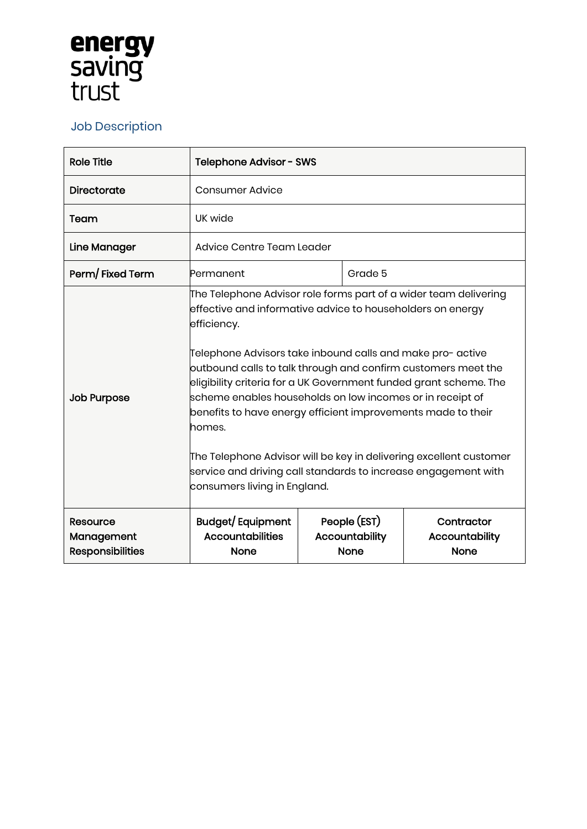## **energy<br>saving<br>trust**

## Job Description

| <b>Role Title</b>                                 | Telephone Advisor - SWS                                                                                                                                                                                                                                                                                                                                                                                                                                                                                                                                                                                                                                          |  |                                                      |                                                    |
|---------------------------------------------------|------------------------------------------------------------------------------------------------------------------------------------------------------------------------------------------------------------------------------------------------------------------------------------------------------------------------------------------------------------------------------------------------------------------------------------------------------------------------------------------------------------------------------------------------------------------------------------------------------------------------------------------------------------------|--|------------------------------------------------------|----------------------------------------------------|
| <b>Directorate</b>                                | Consumer Advice                                                                                                                                                                                                                                                                                                                                                                                                                                                                                                                                                                                                                                                  |  |                                                      |                                                    |
| Team                                              | UK wide                                                                                                                                                                                                                                                                                                                                                                                                                                                                                                                                                                                                                                                          |  |                                                      |                                                    |
| Line Manager                                      | Advice Centre Team Leader                                                                                                                                                                                                                                                                                                                                                                                                                                                                                                                                                                                                                                        |  |                                                      |                                                    |
| Perm/Fixed Term                                   | Permanent                                                                                                                                                                                                                                                                                                                                                                                                                                                                                                                                                                                                                                                        |  | Grade 5                                              |                                                    |
| <b>Job Purpose</b>                                | The Telephone Advisor role forms part of a wider team delivering<br>effective and informative advice to householders on energy<br>efficiency.<br>Telephone Advisors take inbound calls and make pro- active<br>outbound calls to talk through and confirm customers meet the<br>eligibility criteria for a UK Government funded grant scheme. The<br>scheme enables households on low incomes or in receipt of<br>benefits to have energy efficient improvements made to their<br>homes.<br>The Telephone Advisor will be key in delivering excellent customer<br>service and driving call standards to increase engagement with<br>consumers living in England. |  |                                                      |                                                    |
| Resource<br>Management<br><b>Responsibilities</b> | Budget/Equipment<br><b>Accountabilities</b><br><b>None</b>                                                                                                                                                                                                                                                                                                                                                                                                                                                                                                                                                                                                       |  | People (EST)<br><b>Accountability</b><br><b>None</b> | Contractor<br><b>Accountability</b><br><b>None</b> |